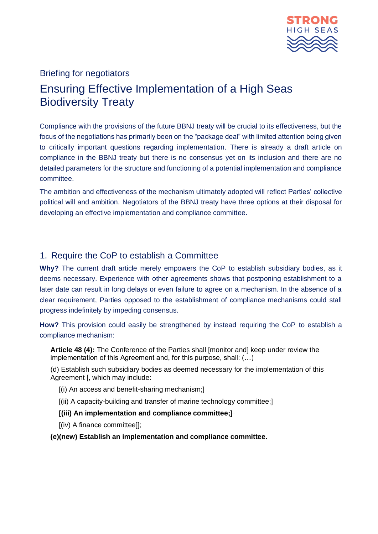

# Briefing for negotiators Ensuring Effective Implementation of a High Seas Biodiversity Treaty

Compliance with the provisions of the future BBNJ treaty will be crucial to its effectiveness, but the focus of the negotiations has primarily been on the "package deal" with limited attention being given to critically important questions regarding implementation. There is already a draft article on compliance in the BBNJ treaty but there is no consensus yet on its inclusion and there are no detailed parameters for the structure and functioning of a potential implementation and compliance committee.

The ambition and effectiveness of the mechanism ultimately adopted will reflect Parties' collective political will and ambition. Negotiators of the BBNJ treaty have three options at their disposal for developing an effective implementation and compliance committee.

## 1. Require the CoP to establish a Committee

**Why?** The current draft article merely empowers the CoP to establish subsidiary bodies, as it deems necessary. Experience with other agreements shows that postponing establishment to a later date can result in long delays or even failure to agree on a mechanism. In the absence of a clear requirement, Parties opposed to the establishment of compliance mechanisms could stall progress indefinitely by impeding consensus.

**How?** This provision could easily be strengthened by instead requiring the CoP to establish a compliance mechanism:

**Article 48 (4):** The Conference of the Parties shall [monitor and] keep under review the implementation of this Agreement and, for this purpose, shall: (…)

(d) Establish such subsidiary bodies as deemed necessary for the implementation of this Agreement [, which may include:

- [(i) An access and benefit-sharing mechanism;]
- [(ii) A capacity-building and transfer of marine technology committee;]

#### **[(iii) An implementation and compliance committee;]**

[(iv) A finance committee]];

**(e)(new) Establish an implementation and compliance committee.**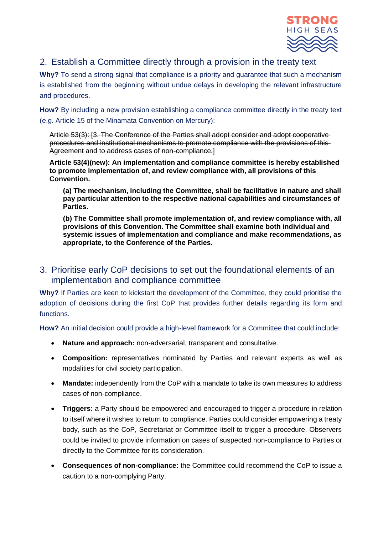

## 2. Establish a Committee directly through a provision in the treaty text

**Why?** To send a strong signal that compliance is a priority and guarantee that such a mechanism is established from the beginning without undue delays in developing the relevant infrastructure and procedures.

**How?** By including a new provision establishing a compliance committee directly in the treaty text (e.g. Article 15 of the Minamata Convention on Mercury):

Article 53(3): [3. The Conference of the Parties shall adopt consider and adopt cooperative procedures and institutional mechanisms to promote compliance with the provisions of this Agreement and to address cases of non-compliance.]

**Article 53(4)(new): An implementation and compliance committee is hereby established to promote implementation of, and review compliance with, all provisions of this Convention.**

**(a) The mechanism, including the Committee, shall be facilitative in nature and shall pay particular attention to the respective national capabilities and circumstances of Parties.**

**(b) The Committee shall promote implementation of, and review compliance with, all provisions of this Convention. The Committee shall examine both individual and systemic issues of implementation and compliance and make recommendations, as appropriate, to the Conference of the Parties.**

## 3. Prioritise early CoP decisions to set out the foundational elements of an implementation and compliance committee

**Why?** If Parties are keen to kickstart the development of the Committee, they could prioritise the adoption of decisions during the first CoP that provides further details regarding its form and functions.

**How?** An initial decision could provide a high-level framework for a Committee that could include:

- **Nature and approach:** non-adversarial, transparent and consultative.
- **Composition:** representatives nominated by Parties and relevant experts as well as modalities for civil society participation.
- **Mandate:** independently from the CoP with a mandate to take its own measures to address cases of non-compliance.
- **Triggers:** a Party should be empowered and encouraged to trigger a procedure in relation to itself where it wishes to return to compliance. Parties could consider empowering a treaty body, such as the CoP, Secretariat or Committee itself to trigger a procedure. Observers could be invited to provide information on cases of suspected non-compliance to Parties or directly to the Committee for its consideration.
- **Consequences of non-compliance:** the Committee could recommend the CoP to issue a caution to a non-complying Party.